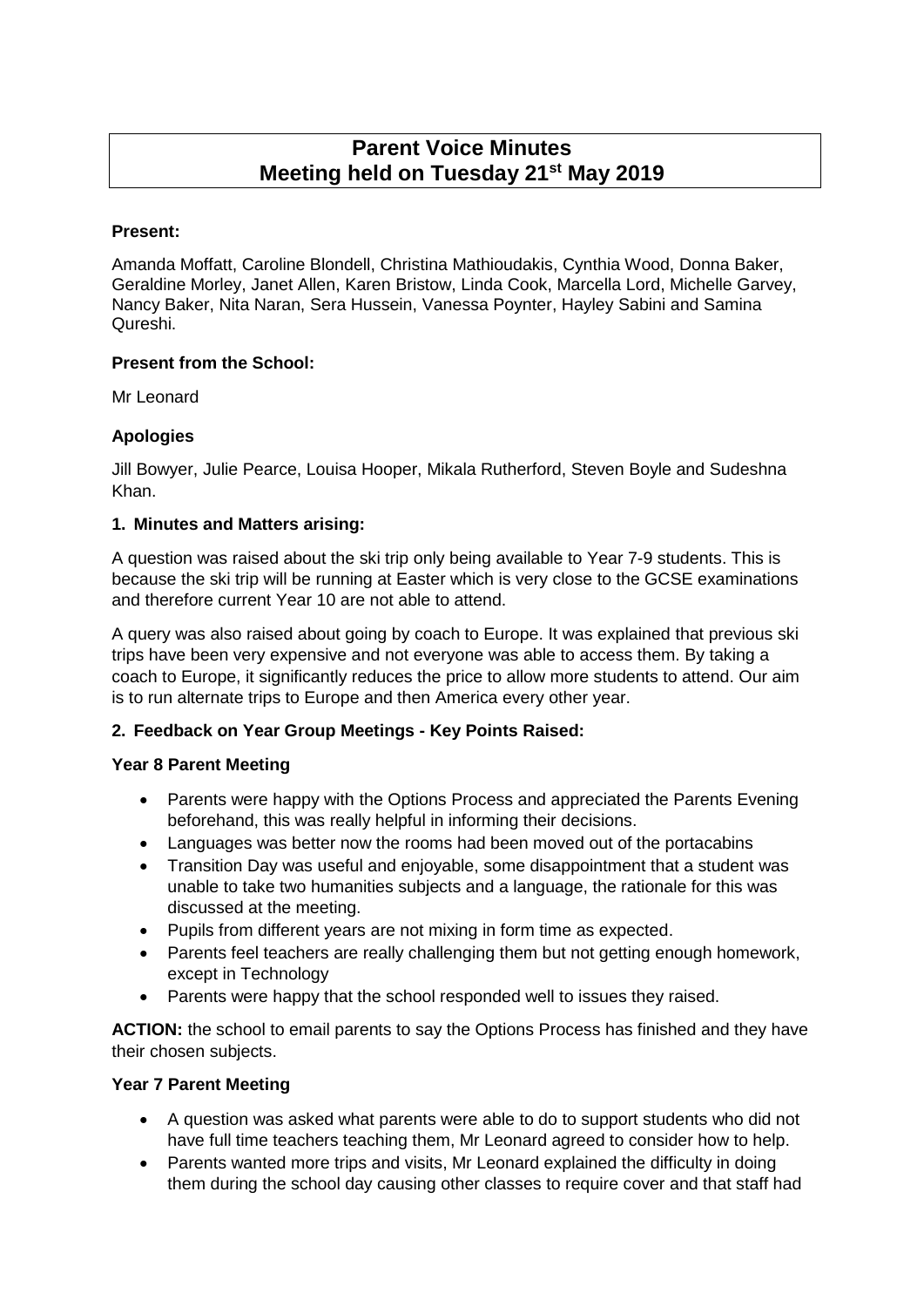# **Parent Voice Minutes Meeting held on Tuesday 21st May 2019**

# **Present:**

Amanda Moffatt, Caroline Blondell, Christina Mathioudakis, Cynthia Wood, Donna Baker, Geraldine Morley, Janet Allen, Karen Bristow, Linda Cook, Marcella Lord, Michelle Garvey, Nancy Baker, Nita Naran, Sera Hussein, Vanessa Poynter, Hayley Sabini and Samina Qureshi.

# **Present from the School:**

Mr Leonard

# **Apologies**

Jill Bowyer, Julie Pearce, Louisa Hooper, Mikala Rutherford, Steven Boyle and Sudeshna Khan.

# **1. Minutes and Matters arising:**

A question was raised about the ski trip only being available to Year 7-9 students. This is because the ski trip will be running at Easter which is very close to the GCSE examinations and therefore current Year 10 are not able to attend.

A query was also raised about going by coach to Europe. It was explained that previous ski trips have been very expensive and not everyone was able to access them. By taking a coach to Europe, it significantly reduces the price to allow more students to attend. Our aim is to run alternate trips to Europe and then America every other year.

# **2. Feedback on Year Group Meetings - Key Points Raised:**

# **Year 8 Parent Meeting**

- Parents were happy with the Options Process and appreciated the Parents Evening beforehand, this was really helpful in informing their decisions.
- Languages was better now the rooms had been moved out of the portacabins
- Transition Day was useful and enjoyable, some disappointment that a student was unable to take two humanities subjects and a language, the rationale for this was discussed at the meeting.
- Pupils from different years are not mixing in form time as expected.
- Parents feel teachers are really challenging them but not getting enough homework, except in Technology
- Parents were happy that the school responded well to issues they raised.

**ACTION:** the school to email parents to say the Options Process has finished and they have their chosen subjects.

# **Year 7 Parent Meeting**

- A question was asked what parents were able to do to support students who did not have full time teachers teaching them, Mr Leonard agreed to consider how to help.
- Parents wanted more trips and visits, Mr Leonard explained the difficulty in doing them during the school day causing other classes to require cover and that staff had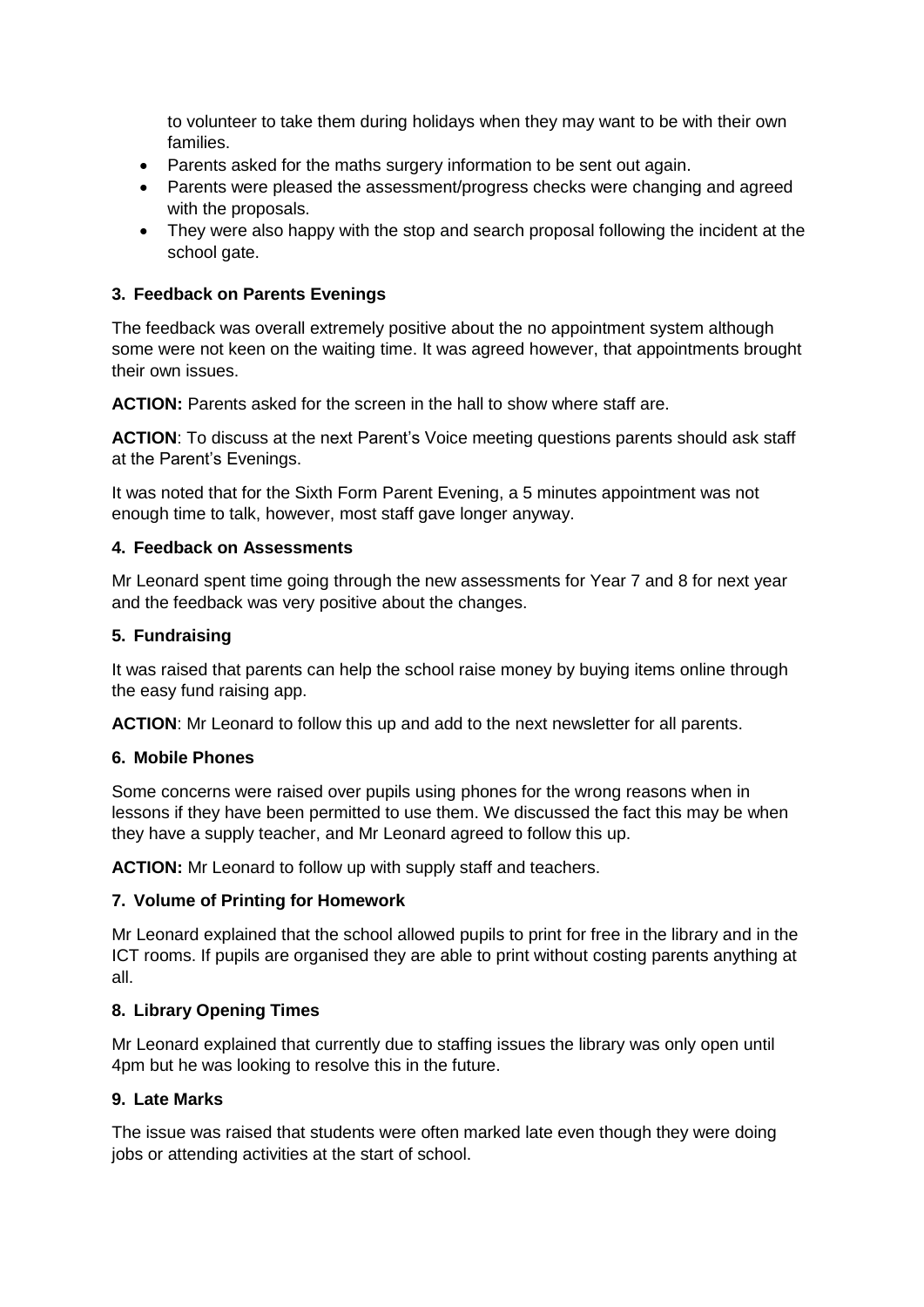to volunteer to take them during holidays when they may want to be with their own families.

- Parents asked for the maths surgery information to be sent out again.
- Parents were pleased the assessment/progress checks were changing and agreed with the proposals.
- They were also happy with the stop and search proposal following the incident at the school gate.

## **3. Feedback on Parents Evenings**

The feedback was overall extremely positive about the no appointment system although some were not keen on the waiting time. It was agreed however, that appointments brought their own issues.

**ACTION:** Parents asked for the screen in the hall to show where staff are.

**ACTION**: To discuss at the next Parent's Voice meeting questions parents should ask staff at the Parent's Evenings.

It was noted that for the Sixth Form Parent Evening, a 5 minutes appointment was not enough time to talk, however, most staff gave longer anyway.

#### **4. Feedback on Assessments**

Mr Leonard spent time going through the new assessments for Year 7 and 8 for next year and the feedback was very positive about the changes.

## **5. Fundraising**

It was raised that parents can help the school raise money by buying items online through the easy fund raising app.

**ACTION**: Mr Leonard to follow this up and add to the next newsletter for all parents.

## **6. Mobile Phones**

Some concerns were raised over pupils using phones for the wrong reasons when in lessons if they have been permitted to use them. We discussed the fact this may be when they have a supply teacher, and Mr Leonard agreed to follow this up.

**ACTION:** Mr Leonard to follow up with supply staff and teachers.

## **7. Volume of Printing for Homework**

Mr Leonard explained that the school allowed pupils to print for free in the library and in the ICT rooms. If pupils are organised they are able to print without costing parents anything at all.

## **8. Library Opening Times**

Mr Leonard explained that currently due to staffing issues the library was only open until 4pm but he was looking to resolve this in the future.

## **9. Late Marks**

The issue was raised that students were often marked late even though they were doing jobs or attending activities at the start of school.